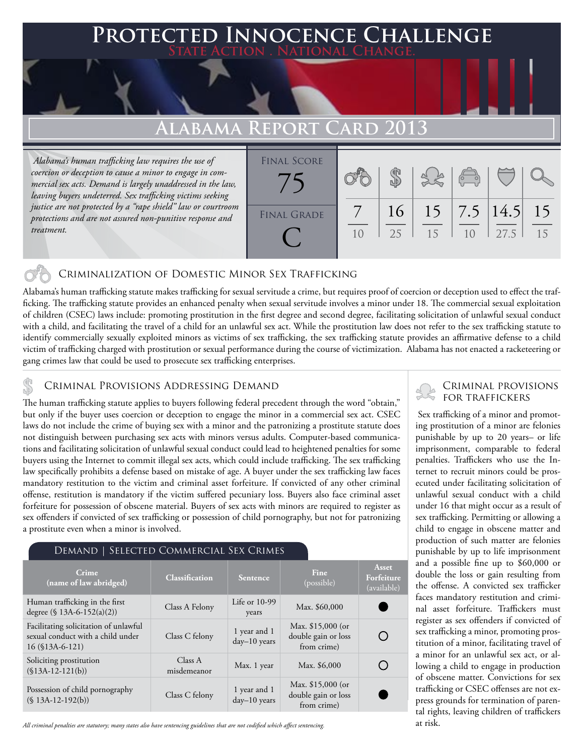# **Protected Innocence Challenge**

## **Alabama Report Card 2013**

 *Alabama's human trafficking law requires the use of coercion or deception to cause a minor to engage in commercial sex acts. Demand is largely unaddressed in the law, leaving buyers undeterred. Sex trafficking victims seeking justice are not protected by a "rape shield" law or courtroom protections and are not assured non-punitive response and treatment.*



#### Criminalization of Domestic Minor Sex Trafficking

Alabama's human trafficking statute makes trafficking for sexual servitude a crime, but requires proof of coercion or deception used to effect the trafficking. The trafficking statute provides an enhanced penalty when sexual servitude involves a minor under 18. The commercial sexual exploitation of children (CSEC) laws include: promoting prostitution in the first degree and second degree, facilitating solicitation of unlawful sexual conduct with a child, and facilitating the travel of a child for an unlawful sex act. While the prostitution law does not refer to the sex trafficking statute to identify commercially sexually exploited minors as victims of sex trafficking, the sex trafficking statute provides an affirmative defense to a child victim of trafficking charged with prostitution or sexual performance during the course of victimization. Alabama has not enacted a racketeering or gang crimes law that could be used to prosecute sex trafficking enterprises.

CRIMINAL PROVISIONS ADDRESSING DEMAND<br>The human trafficking statute applies to buyers following federal precedent through the word "obtain," FOR TRAFFICKERS but only if the buyer uses coercion or deception to engage the minor in a commercial sex act. CSEC laws do not include the crime of buying sex with a minor and the patronizing a prostitute statute does not distinguish between purchasing sex acts with minors versus adults. Computer-based communications and facilitating solicitation of unlawful sexual conduct could lead to heightened penalties for some buyers using the Internet to commit illegal sex acts, which could include trafficking. The sex trafficking law specifically prohibits a defense based on mistake of age. A buyer under the sex trafficking law faces mandatory restitution to the victim and criminal asset forfeiture. If convicted of any other criminal offense, restitution is mandatory if the victim suffered pecuniary loss. Buyers also face criminal asset forfeiture for possession of obscene material. Buyers of sex acts with minors are required to register as sex offenders if convicted of sex trafficking or possession of child pornography, but not for patronizing a prostitute even when a minor is involved.

#### Demand | Selected Commercial Sex Crimes

| Crime<br>(name of law abridged)                                                                  | <b>Classification</b>  | Sentence                       | Fine<br>(possible)                                       | Asset<br>Forfeiture<br>(available) |
|--------------------------------------------------------------------------------------------------|------------------------|--------------------------------|----------------------------------------------------------|------------------------------------|
| Human trafficking in the first<br>degree $(\$ 13A-6-152(a)(2))$                                  | Class A Felony         | Life or $10-99$<br>years       | Max. \$60,000                                            |                                    |
| Facilitating solicitation of unlawful<br>sexual conduct with a child under<br>$16$ (\$13A-6-121) | Class C felony         | 1 year and 1<br>$day-10$ years | Max. $$15,000$ (or<br>double gain or loss<br>from crime) |                                    |
| Soliciting prostitution<br>$($13A-12-121(b))$                                                    | Class A<br>misdemeanor | Max. 1 year                    | Max. \$6,000                                             |                                    |
| Possession of child pornography<br>$(S 13A-12-192(b))$                                           | Class C felony         | 1 year and 1<br>$day-10$ years | Max. \$15,000 (or<br>double gain or loss<br>from crime)  |                                    |

*All criminal penalties are statutory; many states also have sentencing guidelines that are not codified which affect sentencing.* 

## Criminal provisions

 Sex trafficking of a minor and promoting prostitution of a minor are felonies punishable by up to 20 years– or life imprisonment, comparable to federal penalties. Traffickers who use the Internet to recruit minors could be prosecuted under facilitating solicitation of unlawful sexual conduct with a child under 16 that might occur as a result of sex trafficking. Permitting or allowing a child to engage in obscene matter and production of such matter are felonies punishable by up to life imprisonment and a possible fine up to \$60,000 or double the loss or gain resulting from the offense. A convicted sex trafficker faces mandatory restitution and criminal asset forfeiture. Traffickers must register as sex offenders if convicted of sex trafficking a minor, promoting prostitution of a minor, facilitating travel of a minor for an unlawful sex act, or allowing a child to engage in production of obscene matter. Convictions for sex trafficking or CSEC offenses are not express grounds for termination of parental rights, leaving children of traffickers at risk.